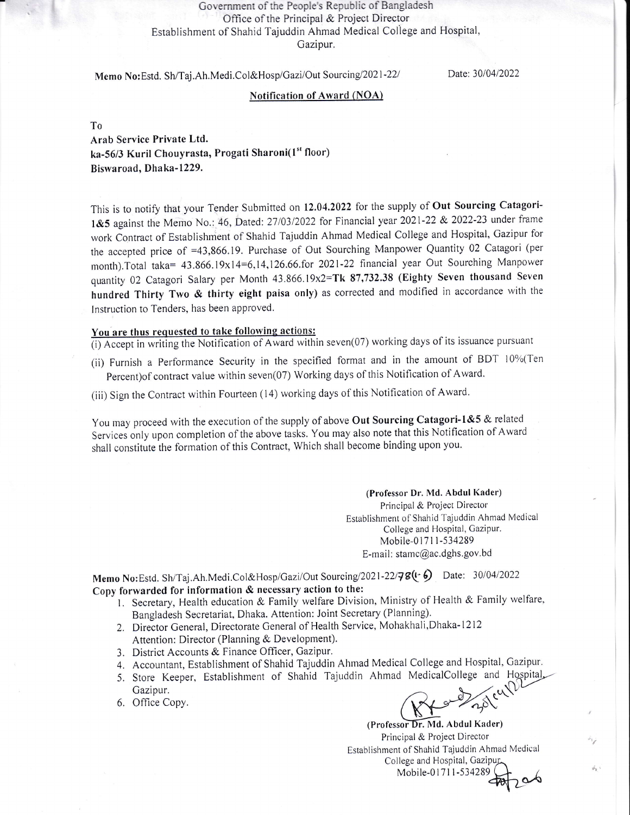## Government of the People's Republic of Bangladesh Office of the Principal & Project Director Establishment of Shahid Tajuddin Ahmad Medical Coliege and Hospital, Gazipur,

Memo No: Estd. Sh/Taj.Ah.Medi.Col&Hosp/Gazi/Out Sourcing/2021-22/

Date: 30/04/2022

## Notification of Award (NOA)

To

Arab Service Private Ltd. ka-56/3 Kuril Chouyrasta, Progati Sharoni(1st floor) Biswaroad, Dhaka-1229.

This is to notify that your Tender Submitted on 12.04.2022 for the supply of Out Sourcing Catagori-1&5 against the Memo No.: 46, Dated: 27/03/2022 for Financial year 2021-22 & 2022-23 under frame work Contract of Establishment of Shahid Tajuddin Ahmad Medical College and Hospital, Gazipur for the accepted price of =43,866.19. Purchase of Out Sourching Manpower Quantity 02 Catagori (per month).Total taka= 43.866.19x1 4=6,14,126.66.for 2021-22 financial year Out Sourching Manpower quantity 02 Catagori Salary per Month 43.866.19x2=Tk 87,732.38 (Eighty Seven thousand Seven hundred Thirty Two & thirty eight paisa only) as corrected and modified in accordance with the lnstruction to Tenders, has been approved.

## You are thus requested to take following actions:

 $\overline{(i)}$  Accept in writing the Notification of Award within seven(07) working days of its issuance pursuant

(ii) Furnish a Performance Security in the specified format and in the amount of BDT  $10\%$ (Ten Percent) of contract value within seven(07) Working days of this Notification of Award.

(iii) Sign the Contract within Fourteen (14) working days of this Notification of Award.

You may proceed with the execution of the supply of above Out Sourcing Catagori-1&5 & related Services only upon completion of the above tasks. You may also note that this Notification of Award shall constitute the formation of this Contract, Which shall become binding upon you.

> (Professor Dr. Md. Abdul Kader) Principal & Project Director Establishment of Shahid Tajuddin Ahmad Medical College and Hospital, Gazipur. Mobile-01711-534289 E-mail: stamc@ac.dghs.gov.bd

Memo No:Estd. Sh/Taj.Ah.Medi.Col&Hosp/Gazi/Out Sourcing/2021-22/78(+6) Date: 30/04/2022 Copy forwarded for information & necessary action to the:

- 1. Secretary, Health education & Family welfare Division, Ministry of Health & Family welfare, Bangladesh Secretariat, Dhaka. Attention: Joint Secretary (Planning).
- Z. Director General, Directorate General of Health Service, Mohakhali,Dhaka-1212 Attention: Director (Planning & Development).
- 3. District Accounts & Finance Officer, Gazipur.
- 4. Accountant, Establishment of Shahid Tajuddin Ahmad Medical College and Hospital, Gazipur
- 5. Store Keeper Establishnrent of Shahid Tajuddin Ahrnad MedicalCollege Gazipur.
- 6. Office Copy.

(Professor Dr. Md. Abdul Kader) Principal & Project Director Establishment of Shahid Tajuddin Ahmad Medical<br>College and Hospital, Gazipur College and Hospital Mobile'0 1711-534289

ú.